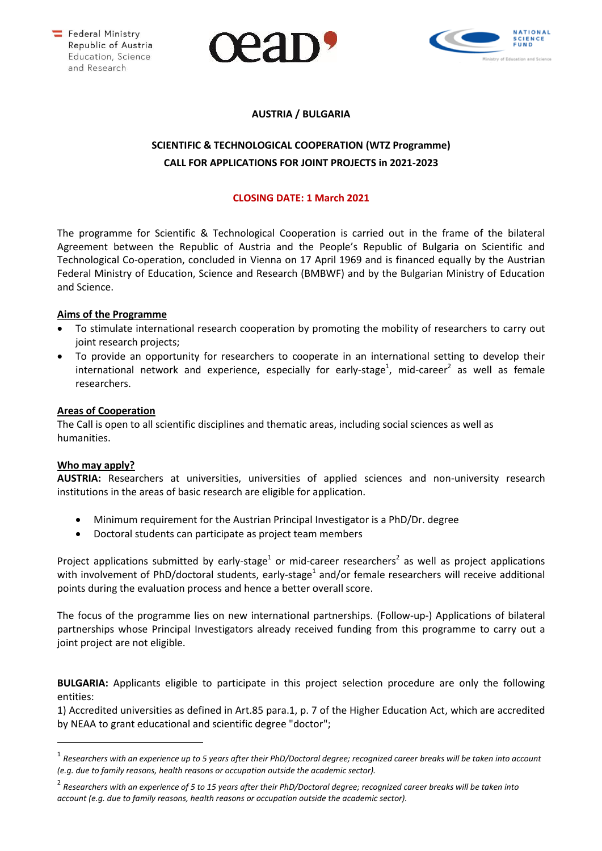





# **AUSTRIA / BULGARIA**

# **SCIENTIFIC & TECHNOLOGICAL COOPERATION (WTZ Programme) CALL FOR APPLICATIONS FOR JOINT PROJECTS in 2021-2023**

## **CLOSING DATE: 1 March 2021**

The programme for Scientific & Technological Cooperation is carried out in the frame of the bilateral Agreement between the Republic of Austria and the People's Republic of Bulgaria on Scientific and Technological Co-operation, concluded in Vienna on 17 April 1969 and is financed equally by the Austrian Federal Ministry of Education, Science and Research (BMBWF) and by the Bulgarian Ministry of Education and Science.

## **Aims of the Programme**

- To stimulate international research cooperation by promoting the mobility of researchers to carry out joint research projects;
- To provide an opportunity for researchers to cooperate in an international setting to develop their international network and experience, especially for early-stage<sup>1</sup>, mid-career<sup>2</sup> as well as female researchers.

## **Areas of Cooperation**

The Call is open to all scientific disciplines and thematic areas, including social sciences as well as humanities.

#### **Who may apply?**

**AUSTRIA:** Researchers at universities, universities of applied sciences and non-university research institutions in the areas of basic research are eligible for application.

- Minimum requirement for the Austrian Principal Investigator is a PhD/Dr. degree
- Doctoral students can participate as project team members

Project applications submitted by early-stage<sup>1</sup> or mid-career researchers<sup>2</sup> as well as project applications with involvement of PhD/doctoral students, early-stage<sup>1</sup> and/or female researchers will receive additional points during the evaluation process and hence a better overall score.

The focus of the programme lies on new international partnerships. (Follow-up-) Applications of bilateral partnerships whose Principal Investigators already received funding from this programme to carry out a joint project are not eligible.

**BULGARIA:** Applicants eligible to participate in this project selection procedure are only the following entities:

1) Accredited universities as defined in Art.85 para.1, p. 7 of the Higher Education Act, which are accredited by NEAA to grant educational and scientific degree "doctor";

<sup>1</sup> *Researchers with an experience up to 5 years after their PhD/Doctoral degree; recognized career breaks will be taken into account (e.g. due to family reasons, health reasons or occupation outside the academic sector).*

<sup>2</sup> *Researchers with an experience of 5 to 15 years after their PhD/Doctoral degree; recognized career breaks will be taken into account (e.g. due to family reasons, health reasons or occupation outside the academic sector).*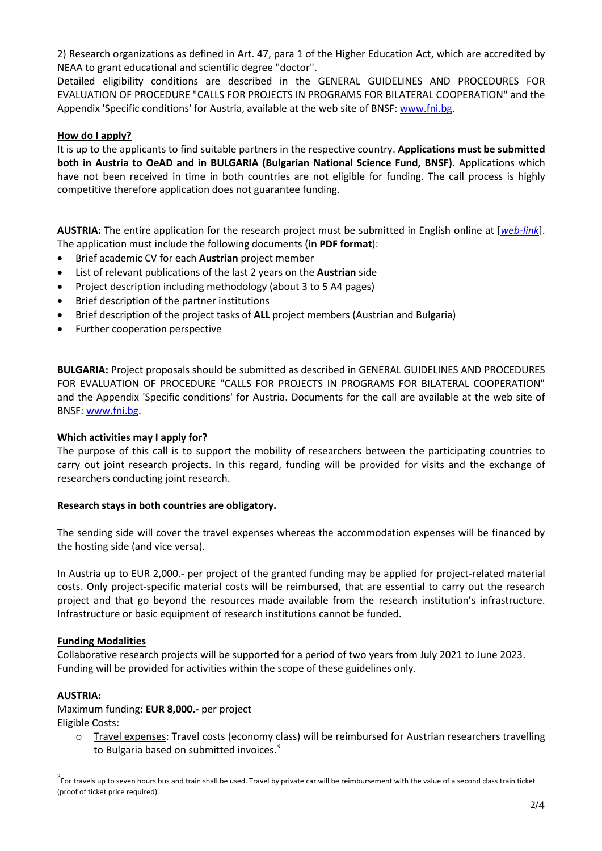2) Research organizations as defined in Art. 47, para 1 of the Higher Education Act, which are accredited by NEAA to grant educational and scientific degree "doctor".

Detailed eligibility conditions are described in the GENERAL GUIDELINES AND PROCEDURES FOR EVALUATION OF PROCEDURE "CALLS FOR PROJECTS IN PROGRAMS FOR BILATERAL COOPERATION" and the Appendix 'Specific conditions' for Austria, available at the web site of BNSF[: www.fni.bg.](http://www.fni.bg/)

## **How do I apply?**

It is up to the applicants to find suitable partners in the respective country. **Applications must be submitted both in Austria to OeAD and in BULGARIA (Bulgarian National Science Fund, BNSF)**. Applications which have not been received in time in both countries are not eligible for funding. The call process is highly competitive therefore application does not guarantee funding.

**AUSTRIA:** The entire application for the research project must be submitted in English online at [*[web-link](https://asp.sop.co.at/oead/antrag?call=BG2021)*]. The application must include the following documents (**in PDF format**):

- Brief academic CV for each **Austrian** project member
- List of relevant publications of the last 2 years on the **Austrian** side
- Project description including methodology (about 3 to 5 A4 pages)
- Brief description of the partner institutions
- Brief description of the project tasks of **ALL** project members (Austrian and Bulgaria)
- Further cooperation perspective

**BULGARIA:** Project proposals should be submitted as described in GENERAL GUIDELINES AND PROCEDURES FOR EVALUATION OF PROCEDURE "CALLS FOR PROJECTS IN PROGRAMS FOR BILATERAL COOPERATION" and the Appendix 'Specific conditions' for Austria. Documents for the call are available at the web site of BNSF: [www.fni.bg.](http://www.fni.bg/)

#### **Which activities may I apply for?**

The purpose of this call is to support the mobility of researchers between the participating countries to carry out joint research projects. In this regard, funding will be provided for visits and the exchange of researchers conducting joint research.

#### **Research stays in both countries are obligatory.**

The sending side will cover the travel expenses whereas the accommodation expenses will be financed by the hosting side (and vice versa).

In Austria up to EUR 2,000.- per project of the granted funding may be applied for project-related material costs. Only project-specific material costs will be reimbursed, that are essential to carry out the research project and that go beyond the resources made available from the research institution's infrastructure. Infrastructure or basic equipment of research institutions cannot be funded.

#### **Funding Modalities**

Collaborative research projects will be supported for a period of two years from July 2021 to June 2023. Funding will be provided for activities within the scope of these guidelines only.

#### **AUSTRIA:**

Maximum funding: **EUR 8,000.-** per project Eligible Costs:

o Travel expenses: Travel costs (economy class) will be reimbursed for Austrian researchers travelling to Bulgaria based on submitted invoices.<sup>3</sup>

<sup>&</sup>lt;sup>3</sup> For travels up to seven hours bus and train shall be used. Travel by private car will be reimbursement with the value of a second class train ticket (proof of ticket price required).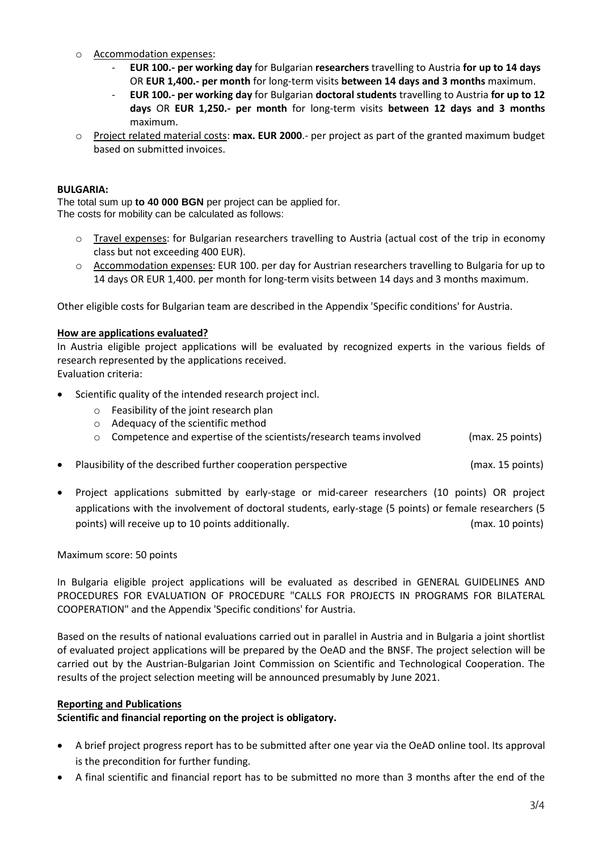- o Accommodation expenses:
	- **EUR 100.- per working day** for Bulgarian **researchers** travelling to Austria **for up to 14 days** OR **EUR 1,400.- per month** for long-term visits **between 14 days and 3 months** maximum.
	- **EUR 100.- per working day** for Bulgarian **doctoral students** travelling to Austria **for up to 12 days** OR **EUR 1,250.- per month** for long-term visits **between 12 days and 3 months** maximum.
- o Project related material costs: **max. EUR 2000**.- per project as part of the granted maximum budget based on submitted invoices.

#### **BULGARIA:**

The total sum up **to 40 000 BGN** per project can be applied for. The costs for mobility can be calculated as follows:

- o Travel expenses: for Bulgarian researchers travelling to Austria (actual cost of the trip in economy class but not exceeding 400 EUR).
- o Accommodation expenses: EUR 100. per day for Austrian researchers travelling to Bulgaria for up to 14 days OR EUR 1,400. per month for long-term visits between 14 days and 3 months maximum.

Other eligible costs for Bulgarian team are described in the Appendix 'Specific conditions' for Austria.

## **How are applications evaluated?**

In Austria eligible project applications will be evaluated by recognized experts in the various fields of research represented by the applications received. Evaluation criteria:

- Scientific quality of the intended research project incl.
	- o Feasibility of the joint research plan
	- o Adequacy of the scientific method
	- $\circ$  Competence and expertise of the scientists/research teams involved (max. 25 points)
- Plausibility of the described further cooperation perspective entity and max. 15 points)
- Project applications submitted by early-stage or mid-career researchers (10 points) OR project applications with the involvement of doctoral students, early-stage (5 points) or female researchers (5 points) will receive up to 10 points additionally. (max. 10 points)

#### Maximum score: 50 points

In Bulgaria eligible project applications will be evaluated as described in GENERAL GUIDELINES AND PROCEDURES FOR EVALUATION OF PROCEDURE "CALLS FOR PROJECTS IN PROGRAMS FOR BILATERAL COOPERATION" and the Appendix 'Specific conditions' for Austria.

Based on the results of national evaluations carried out in parallel in Austria and in Bulgaria a joint shortlist of evaluated project applications will be prepared by the OeAD and the BNSF. The project selection will be carried out by the Austrian-Bulgarian Joint Commission on Scientific and Technological Cooperation. The results of the project selection meeting will be announced presumably by June 2021.

#### **Reporting and Publications**

**Scientific and financial reporting on the project is obligatory.**

- A brief project progress report has to be submitted after one year via the OeAD online tool. Its approval is the precondition for further funding.
- A final scientific and financial report has to be submitted no more than 3 months after the end of the